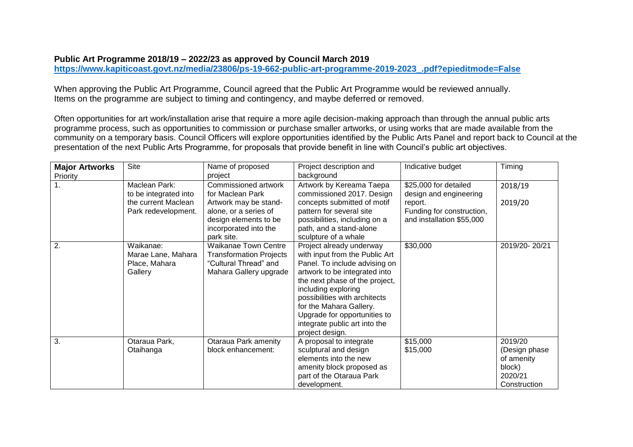## **Public Art Programme 2018/19 – 2022/23 as approved by Council March 2019**

**[https://www.kapiticoast.govt.nz/media/23806/ps-19-662-public-art-programme-2019-2023\\_.pdf?epieditmode=False](https://www.kapiticoast.govt.nz/media/23806/ps-19-662-public-art-programme-2019-2023_.pdf?epieditmode=False)**

When approving the Public Art Programme, Council agreed that the Public Art Programme would be reviewed annually. Items on the programme are subject to timing and contingency, and maybe deferred or removed.

Often opportunities for art work/installation arise that require a more agile decision-making approach than through the annual public arts programme process, such as opportunities to commission or purchase smaller artworks, or using works that are made available from the community on a temporary basis. Council Officers will explore opportunities identified by the Public Arts Panel and report back to Council at the presentation of the next Public Arts Programme, for proposals that provide benefit in line with Council's public art objectives.

| <b>Major Artworks</b><br>Priority | <b>Site</b>                                                                          | Name of proposed<br>project                                                                                                                                | Project description and<br>background                                                                                                                                                                                                                                                                                                 | Indicative budget                                                                                                    | Timing                                                                       |
|-----------------------------------|--------------------------------------------------------------------------------------|------------------------------------------------------------------------------------------------------------------------------------------------------------|---------------------------------------------------------------------------------------------------------------------------------------------------------------------------------------------------------------------------------------------------------------------------------------------------------------------------------------|----------------------------------------------------------------------------------------------------------------------|------------------------------------------------------------------------------|
| 1 <sub>1</sub>                    | Maclean Park:<br>to be integrated into<br>the current Maclean<br>Park redevelopment. | Commissioned artwork<br>for Maclean Park<br>Artwork may be stand-<br>alone, or a series of<br>design elements to be<br>incorporated into the<br>park site. | Artwork by Kereama Taepa<br>commissioned 2017. Design<br>concepts submitted of motif<br>pattern for several site<br>possibilities, including on a<br>path, and a stand-alone<br>sculpture of a whale                                                                                                                                  | \$25,000 for detailed<br>design and engineering<br>report.<br>Funding for construction,<br>and installation \$55,000 | 2018/19<br>2019/20                                                           |
| 2.                                | Waikanae:<br>Marae Lane, Mahara<br>Place, Mahara<br>Gallery                          | <b>Waikanae Town Centre</b><br><b>Transformation Projects</b><br>"Cultural Thread" and<br>Mahara Gallery upgrade                                           | Project already underway<br>with input from the Public Art<br>Panel. To include advising on<br>artwork to be integrated into<br>the next phase of the project,<br>including exploring<br>possibilities with architects<br>for the Mahara Gallery.<br>Upgrade for opportunities to<br>integrate public art into the<br>project design. | \$30,000                                                                                                             | 2019/20-20/21                                                                |
| 3.                                | Otaraua Park,<br>Otaihanga                                                           | Otaraua Park amenity<br>block enhancement:                                                                                                                 | A proposal to integrate<br>sculptural and design<br>elements into the new<br>amenity block proposed as<br>part of the Otaraua Park<br>development.                                                                                                                                                                                    | \$15,000<br>\$15,000                                                                                                 | 2019/20<br>(Design phase)<br>of amenity<br>block)<br>2020/21<br>Construction |